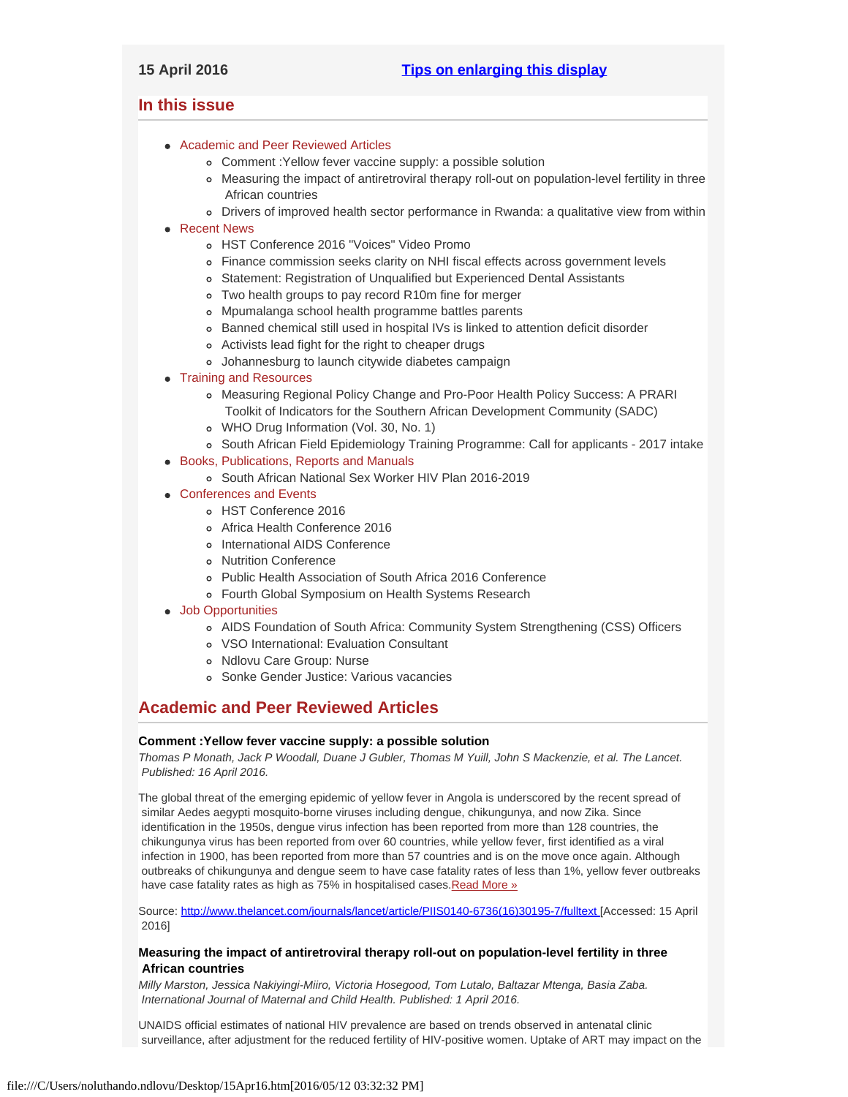# <span id="page-0-3"></span><span id="page-0-2"></span>**In this issue**

- [Academic and Peer Reviewed Articles](#page-0-0)
	- [Comment :Yellow fever vaccine supply: a possible solution](#page-0-1)
	- [Measuring the impact of antiretroviral therapy roll-out on population-level fertility in three](#page-0-1)  [African countries](#page-0-1)
	- [Drivers of improved health sector performance in Rwanda: a qualitative view from within](#page-1-0)
- [Recent News](#page-1-1)
	- [HST Conference 2016 "Voices" Video Promo](#page-1-2)
	- [Finance commission seeks clarity on NHI fiscal effects across government levels](#page-1-2)
	- [Statement: Registration of Unqualified but Experienced Dental Assistants](#page-1-3)
	- [Two health groups to pay record R10m fine for merger](#page-1-4)
	- [Mpumalanga school health programme battles parents](#page-1-5)
	- [Banned chemical still used in hospital IVs is linked to attention deficit disorder](#page-0-2)
	- [Activists lead fight for the right to cheaper drugs](#page-0-2)
	- [Johannesburg to launch citywide diabetes campaign](#page-0-2)
- [Training and Resources](#page-4-0)
	- [Measuring Regional Policy Change and Pro-Poor Health Policy Success: A PRARI](#page-2-0)  [Toolkit of Indicators for the Southern African Development Community \(SADC\)](#page-2-0)
	- [WHO Drug Information \(Vol. 30, No. 1\)](#page-2-0)
	- o [South African Field Epidemiology Training Programme: Call for applicants 2017 intake](#page-2-0)
- [Books, Publications, Reports and Manuals](#page-2-1)
	- o [South African National Sex Worker HIV Plan 2016-2019](#page-3-0)
- [Conferences and Events](#page-3-1)
	- [HST Conference 2016](#page-4-1)
	- [Africa Health Conference 2016](#page-4-1)
	- o [International AIDS Conference](#page-4-1)
	- [Nutrition Conference](#page-0-2)
	- [Public Health Association of South Africa 2016 Conference](#page-4-1)
	- [Fourth Global Symposium on Health Systems Research](#page-0-2)
- [Job Opportunities](#page-0-2)
	- [AIDS Foundation of South Africa: Community System Strengthening \(CSS\) Officers](#page-4-2)
	- [VSO International: Evaluation Consultant](#page-4-2)
	- o [Ndlovu Care Group: Nurse](#page-4-3)
	- [Sonke Gender Justice: Various vacancies](#page-4-3)

# <span id="page-0-0"></span>**Academic and Peer Reviewed Articles**

### **Comment :Yellow fever vaccine supply: a possible solution**

*Thomas P Monath, Jack P Woodall, Duane J Gubler, Thomas M Yuill, John S Mackenzie, et al. The Lancet. Published: 16 April 2016.*

The global threat of the emerging epidemic of yellow fever in Angola is underscored by the recent spread of similar Aedes aegypti mosquito-borne viruses including dengue, chikungunya, and now Zika. Since identification in the 1950s, dengue virus infection has been reported from more than 128 countries, the chikungunya virus has been reported from over 60 countries, while yellow fever, first identified as a viral infection in 1900, has been reported from more than 57 countries and is on the move once again. Although outbreaks of chikungunya and dengue seem to have case fatality rates of less than 1%, yellow fever outbreaks have case fatality rates as high as 75% in hospitalised cases. Read More »

Source: [http://www.thelancet.com/journals/lancet/article/PIIS0140-6736\(16\)30195-7/fulltext](http://www.thelancet.com/journals/lancet/article/PIIS0140-6736(16)30195-7/fulltext) [Accessed: 15 April 2016]

# <span id="page-0-1"></span>**Measuring the impact of antiretroviral therapy roll-out on population-level fertility in three African countries**

*Milly Marston, Jessica Nakiyingi-Miiro, Victoria Hosegood, Tom Lutalo, Baltazar Mtenga, Basia Zaba. International Journal of Maternal and Child Health. Published: 1 April 2016.*

UNAIDS official estimates of national HIV prevalence are based on trends observed in antenatal clinic surveillance, after adjustment for the reduced fertility of HIV-positive women. Uptake of ART may impact on the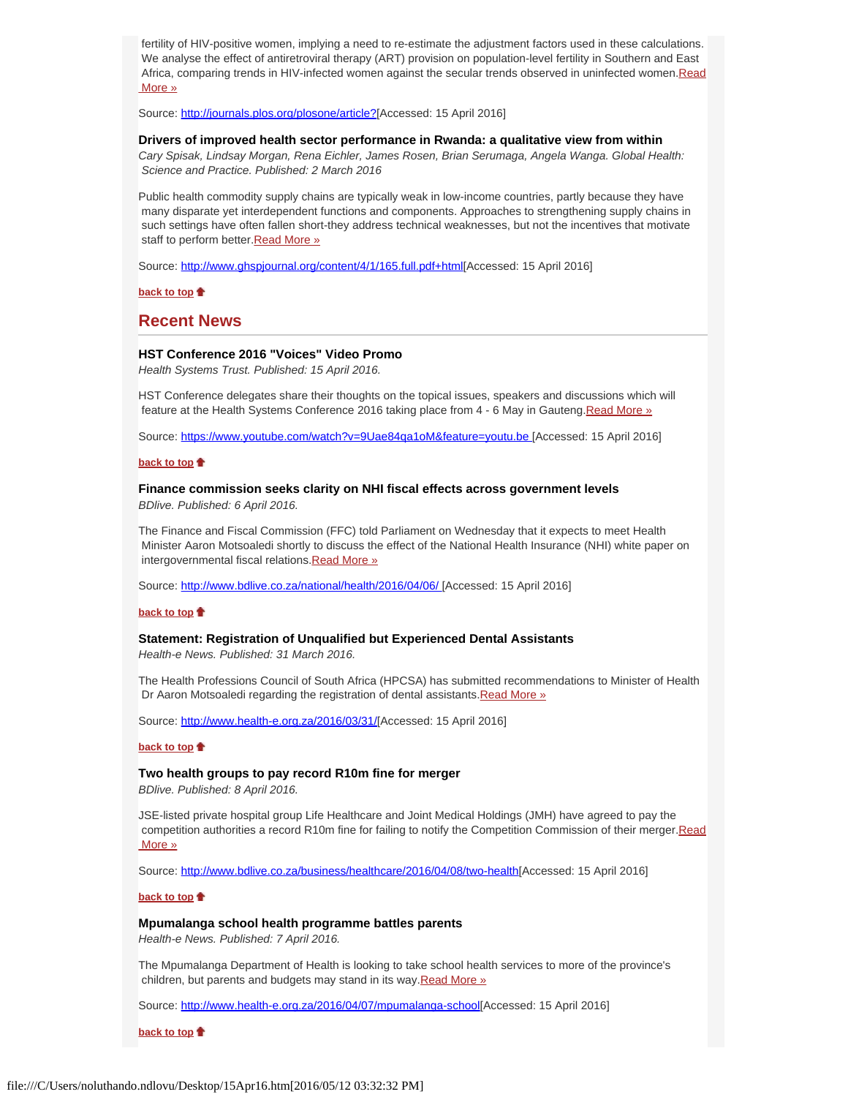fertility of HIV-positive women, implying a need to re-estimate the adjustment factors used in these calculations. We analyse the effect of antiretroviral therapy (ART) provision on population-level fertility in Southern and East Africa, comparing trends in HIV-infected women against the secular trends observed in uninfected women[.Read](http://journals.plos.org/plosone/article?id=10.1371/journal.pone.0151877&utm_source=AVAC%20Email%20Updates&utm_campaign=b780302a72-1_April_2016_VOLUME_17_ISSUE_134_1_2016&utm_medium=email&utm_term=0_6fd730be57-b780302a72-137796265)  [More »](http://journals.plos.org/plosone/article?id=10.1371/journal.pone.0151877&utm_source=AVAC%20Email%20Updates&utm_campaign=b780302a72-1_April_2016_VOLUME_17_ISSUE_134_1_2016&utm_medium=email&utm_term=0_6fd730be57-b780302a72-137796265)

Source: [http://journals.plos.org/plosone/article?](http://journals.plos.org/plosone/article?id=10.1371/journal.pone.0151877&utm_source=AVAC%20Email%20Updates&utm_campaign=b780302a72-1_April_2016_VOLUME_17_ISSUE_134_1_2016&utm_medium=email&utm_term=0_6fd730be57-b780302a72-137796265)[Accessed: 15 April 2016]

#### <span id="page-1-0"></span>**Drivers of improved health sector performance in Rwanda: a qualitative view from within**

*Cary Spisak, Lindsay Morgan, Rena Eichler, James Rosen, Brian Serumaga, Angela Wanga. Global Health: Science and Practice. Published: 2 March 2016*

Public health commodity supply chains are typically weak in low-income countries, partly because they have many disparate yet interdependent functions and components. Approaches to strengthening supply chains in such settings have often fallen short-they address technical weaknesses, but not the incentives that motivate staff to perform better. Read More »

Source:<http://www.ghspjournal.org/content/4/1/165.full.pdf+html>[Accessed: 15 April 2016]

**[back to top](#page-0-3)**

# <span id="page-1-1"></span>**Recent News**

#### **HST Conference 2016 "Voices" Video Promo**

*Health Systems Trust. Published: 15 April 2016.*

HST Conference delegates share their thoughts on the topical issues, speakers and discussions which will feature at the Health Systems Conference 2016 taking place from 4 - 6 May in Gauteng. Read More »

Source:<https://www.youtube.com/watch?v=9Uae84qa1oM&feature=youtu.be>[Accessed: 15 April 2016]

#### **[back to top](#page-0-3)**

# <span id="page-1-2"></span>**Finance commission seeks clarity on NHI fiscal effects across government levels**

*BDlive. Published: 6 April 2016.*

The Finance and Fiscal Commission (FFC) told Parliament on Wednesday that it expects to meet Health Minister Aaron Motsoaledi shortly to discuss the effect of the National Health Insurance (NHI) white paper on intergovernmental fiscal relations. Read More »

Source: [http://www.bdlive.co.za/national/health/2016/04/06/](http://www.bdlive.co.za/national/health/2016/04/06/finance-commission-seeks-clarity-on-nhi-fiscal-effects-across-government-levels) [Accessed: 15 April 2016]

#### **[back to top](#page-0-3)**

# <span id="page-1-3"></span>**Statement: Registration of Unqualified but Experienced Dental Assistants**

*Health-e News. Published: 31 March 2016.*

The Health Professions Council of South Africa (HPCSA) has submitted recommendations to Minister of Health Dr Aaron Motsoaledi regarding the registration of dental assistants[.Read More »](http://www.hst.org.za/news/statement-registration-unqualified-experienced-dental-assistants)

Source: [http://www.health-e.org.za/2016/03/31/](http://www.health-e.org.za/2016/03/31/release-registration-of-unqualified-but-experienced-dental-assistants/)[Accessed: 15 April 2016]

#### **[back to top](#page-0-3)**

#### <span id="page-1-4"></span>**Two health groups to pay record R10m fine for merger**

*BDlive. Published: 8 April 2016.*

JSE-listed private hospital group Life Healthcare and Joint Medical Holdings (JMH) have agreed to pay the competition authorities a record R10m fine for failing to notify the Competition Commission of their merger[.Read](http://www.hst.org.za/news/two-health-groups-pay-record-r10m-fine)  [More »](http://www.hst.org.za/news/two-health-groups-pay-record-r10m-fine)

Source: [http://www.bdlive.co.za/business/healthcare/2016/04/08/two-health](http://www.bdlive.co.za/business/healthcare/2016/04/08/two-health-groups-to-pay-record-r10m-fine-for-merger)[Accessed: 15 April 2016]

# **[back to top](#page-0-3)**

#### <span id="page-1-5"></span>**Mpumalanga school health programme battles parents**

*Health-e News. Published: 7 April 2016.*

The Mpumalanga Department of Health is looking to take school health services to more of the province's children, but parents and budgets may stand in its way[.Read More »](http://www.hst.org.za/news/mpumalanga-school-health-programme-battles-parents)

Source: [http://www.health-e.org.za/2016/04/07/mpumalanga-school](http://www.health-e.org.za/2016/04/07/mpumalanga-school-health-programme-battles-parents-budgets/)[Accessed: 15 April 2016]

**[back to top](#page-0-3)**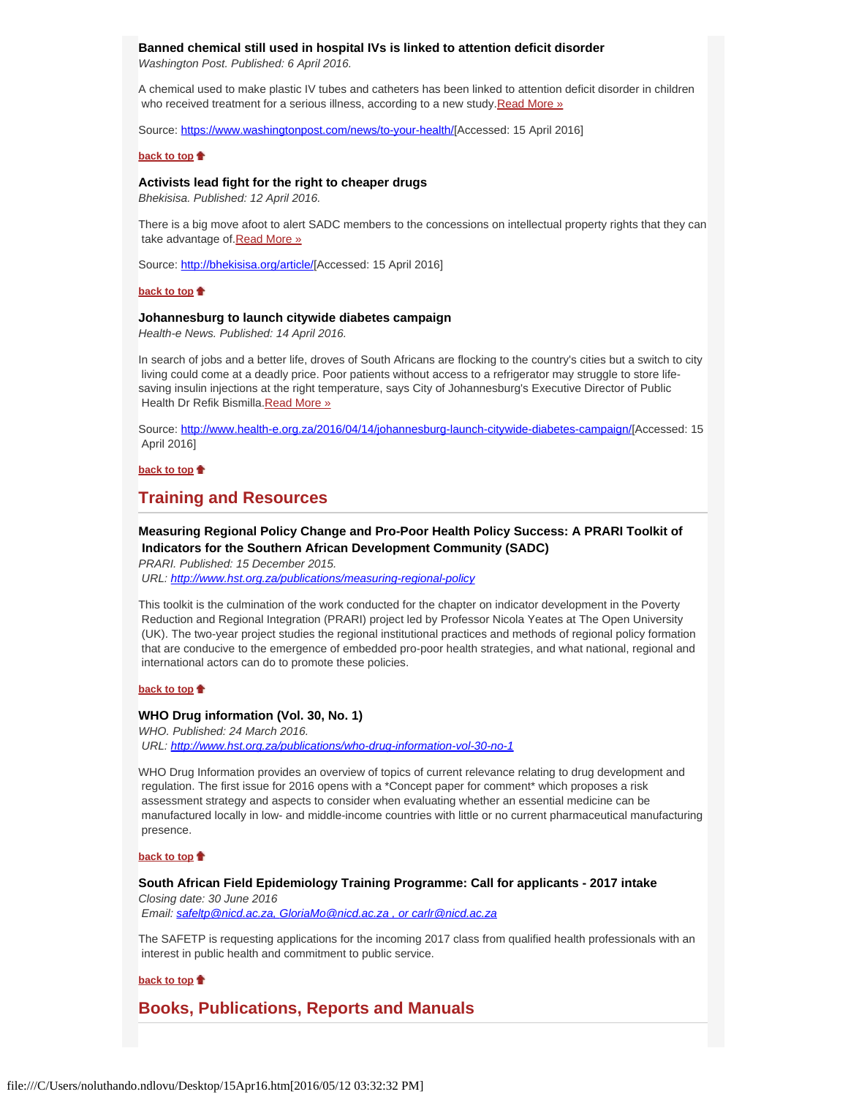# **Banned chemical still used in hospital IVs is linked to attention deficit disorder**

*Washington Post. Published: 6 April 2016.*

A chemical used to make plastic IV tubes and catheters has been linked to attention deficit disorder in children who received treatment for a serious illness, according to a new study. Read More »

Source: [https://www.washingtonpost.com/news/to-your-health/](https://www.washingtonpost.com/news/to-your-health/wp/2016/04/06/attention-deficit-disorder-linked-to-iv-tubes-used-with-critically-ill-children/)[Accessed: 15 April 2016]

#### **[back to top](#page-0-3)**

# **Activists lead fight for the right to cheaper drugs**

*Bhekisisa. Published: 12 April 2016.*

There is a big move afoot to alert SADC members to the concessions on intellectual property rights that they can take advantage of Read More »

Source: [http://bhekisisa.org/article/](http://bhekisisa.org/article/2016-04-07-activists-lead-fight-for-the-right-to-cheaper-drugs)[Accessed: 15 April 2016]

#### **[back to top](#page-0-3)**

### **Johannesburg to launch citywide diabetes campaign**

*Health-e News. Published: 14 April 2016.*

In search of jobs and a better life, droves of South Africans are flocking to the country's cities but a switch to city living could come at a deadly price. Poor patients without access to a refrigerator may struggle to store lifesaving insulin injections at the right temperature, says City of Johannesburg's Executive Director of Public Health Dr Refik Bismilla. Read More »

Source:<http://www.health-e.org.za/2016/04/14/johannesburg-launch-citywide-diabetes-campaign/>[Accessed: 15 April 2016]

**[back to top](#page-0-3)**

# **Training and Resources**

# **Measuring Regional Policy Change and Pro-Poor Health Policy Success: A PRARI Toolkit of Indicators for the Southern African Development Community (SADC)**

*PRARI. Published: 15 December 2015. URL: [http://www.hst.org.za/publications/measuring-regional-policy](http://www.hst.org.za/publications/measuring-regional-policy-change-and-pro-poor-health-policy-success-prari-toolkit-indic)*

This toolkit is the culmination of the work conducted for the chapter on indicator development in the Poverty Reduction and Regional Integration (PRARI) project led by Professor Nicola Yeates at The Open University (UK). The two-year project studies the regional institutional practices and methods of regional policy formation that are conducive to the emergence of embedded pro-poor health strategies, and what national, regional and international actors can do to promote these policies.

#### **[back to top](#page-0-3)**

#### **WHO Drug information (Vol. 30, No. 1)**

*WHO. Published: 24 March 2016. URL:<http://www.hst.org.za/publications/who-drug-information-vol-30-no-1>*

WHO Drug Information provides an overview of topics of current relevance relating to drug development and regulation. The first issue for 2016 opens with a \*Concept paper for comment\* which proposes a risk assessment strategy and aspects to consider when evaluating whether an essential medicine can be manufactured locally in low- and middle-income countries with little or no current pharmaceutical manufacturing presence.

#### **[back to top](#page-0-3)**

#### <span id="page-2-0"></span>**South African Field Epidemiology Training Programme: Call for applicants - 2017 intake**

*Closing date: 30 June 2016 Email: [safeltp@nicd.ac.za, GloriaMo@nicd.ac.za , or carlr@nicd.ac.za](file:///C/Users/noluthando.ndlovu/Desktop/safeltp@nicd.ac.za,  GloriaMo@nicd.ac.za , or carlr@nicd.ac.za)*

The SAFETP is requesting applications for the incoming 2017 class from qualified health professionals with an interest in public health and commitment to public service.

### **[back to top](#page-0-3)**

<span id="page-2-1"></span>**Books, Publications, Reports and Manuals**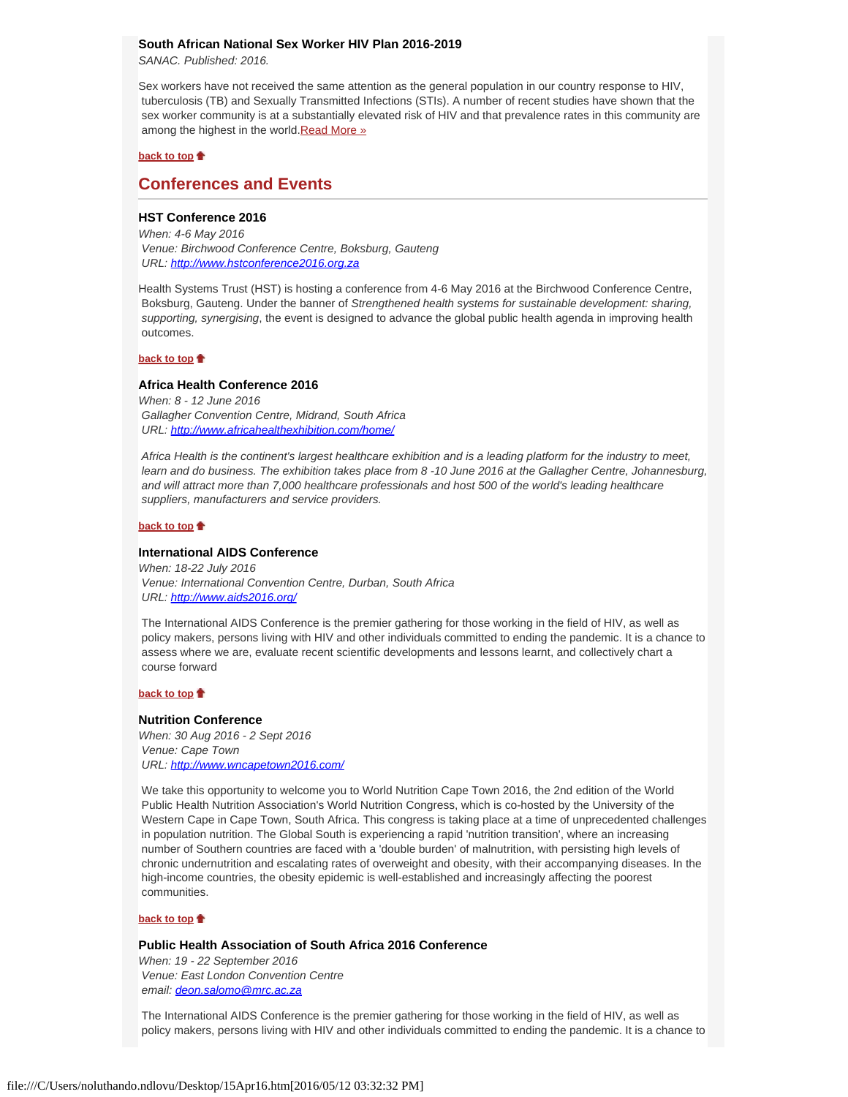# <span id="page-3-0"></span>**South African National Sex Worker HIV Plan 2016-2019**

*SANAC. Published: 2016.*

Sex workers have not received the same attention as the general population in our country response to HIV, tuberculosis (TB) and Sexually Transmitted Infections (STIs). A number of recent studies have shown that the sex worker community is at a substantially elevated risk of HIV and that prevalence rates in this community are among the highest in the world. Read More »

#### **[back to top](#page-0-3)**

# <span id="page-3-1"></span>**Conferences and Events**

# **HST Conference 2016**

*When: 4-6 May 2016 Venue: Birchwood Conference Centre, Boksburg, Gauteng URL: [http://www.hstconference2016.org.za](http://www.hstconference2016.org.za/)*

Health Systems Trust (HST) is hosting a conference from 4-6 May 2016 at the Birchwood Conference Centre, Boksburg, Gauteng. Under the banner of *Strengthened health systems for sustainable development: sharing, supporting, synergising*, the event is designed to advance the global public health agenda in improving health outcomes.

### **[back to top](#page-0-3)**

### **Africa Health Conference 2016**

*When: 8 - 12 June 2016 Gallagher Convention Centre, Midrand, South Africa URL:<http://www.africahealthexhibition.com/home/>*

 *Africa Health is the continent's largest healthcare exhibition and is a leading platform for the industry to meet, learn and do business. The exhibition takes place from 8 -10 June 2016 at the Gallagher Centre, Johannesburg, and will attract more than 7,000 healthcare professionals and host 500 of the world's leading healthcare suppliers, manufacturers and service providers.*

#### **[back to top](#page-0-3)**

#### **International AIDS Conference**

*When: 18-22 July 2016 Venue: International Convention Centre, Durban, South Africa URL:<http://www.aids2016.org/>*

 The International AIDS Conference is the premier gathering for those working in the field of HIV, as well as policy makers, persons living with HIV and other individuals committed to ending the pandemic. It is a chance to assess where we are, evaluate recent scientific developments and lessons learnt, and collectively chart a course forward

#### **[back to top](#page-0-3)**

#### **Nutrition Conference**

*When: 30 Aug 2016 - 2 Sept 2016 Venue: Cape Town URL:<http://www.wncapetown2016.com/>*

 We take this opportunity to welcome you to World Nutrition Cape Town 2016, the 2nd edition of the World Public Health Nutrition Association's World Nutrition Congress, which is co-hosted by the University of the Western Cape in Cape Town, South Africa. This congress is taking place at a time of unprecedented challenges in population nutrition. The Global South is experiencing a rapid 'nutrition transition', where an increasing number of Southern countries are faced with a 'double burden' of malnutrition, with persisting high levels of chronic undernutrition and escalating rates of overweight and obesity, with their accompanying diseases. In the high-income countries, the obesity epidemic is well-established and increasingly affecting the poorest communities.

## **[back to top](#page-0-3)**

# **Public Health Association of South Africa 2016 Conference**

*When: 19 - 22 September 2016 Venue: East London Convention Centre email: [deon.salomo@mrc.ac.za](file:///C/Users/noluthando.ndlovu/Desktop/deon.salomo@mrc.ac.za)*

 The International AIDS Conference is the premier gathering for those working in the field of HIV, as well as policy makers, persons living with HIV and other individuals committed to ending the pandemic. It is a chance to